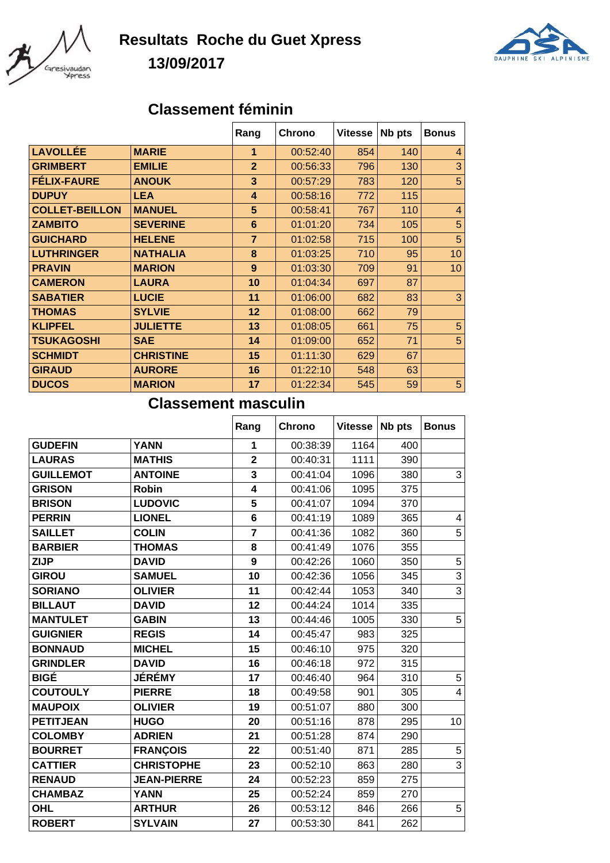

## **Resultats Roche du Guet Xpress 13/09/2017**



## **Classement féminin**

|                       |                  | Rang                 | Chrono   | <b>Vitesse</b> | Nb pts | <b>Bonus</b>   |
|-----------------------|------------------|----------------------|----------|----------------|--------|----------------|
| <b>LAVOLLÉE</b>       | <b>MARIE</b>     | $\blacktriangleleft$ | 00:52:40 | 854            | 140    | $\overline{4}$ |
| <b>GRIMBERT</b>       | <b>EMILIE</b>    | $\overline{2}$       | 00:56:33 | 796            | 130    | 3              |
| <b>FELIX-FAURE</b>    | <b>ANOUK</b>     | 3                    | 00:57:29 | 783            | 120    | 5              |
| <b>DUPUY</b>          | <b>LEA</b>       | 4                    | 00:58:16 | 772            | 115    |                |
| <b>COLLET-BEILLON</b> | <b>MANUEL</b>    | 5                    | 00:58:41 | 767            | 110    | $\overline{4}$ |
| <b>ZAMBITO</b>        | <b>SEVERINE</b>  | 6                    | 01:01:20 | 734            | 105    | 5              |
| <b>GUICHARD</b>       | <b>HELENE</b>    | $\overline{7}$       | 01:02:58 | 715            | 100    | 5              |
| <b>LUTHRINGER</b>     | <b>NATHALIA</b>  | 8                    | 01:03:25 | 710            | 95     | 10             |
| <b>PRAVIN</b>         | <b>MARION</b>    | 9                    | 01:03:30 | 709            | 91     | 10             |
| <b>CAMERON</b>        | <b>LAURA</b>     | 10                   | 01:04:34 | 697            | 87     |                |
| <b>SABATIER</b>       | <b>LUCIE</b>     | 11                   | 01:06:00 | 682            | 83     | 3              |
| <b>THOMAS</b>         | <b>SYLVIE</b>    | 12                   | 01:08:00 | 662            | 79     |                |
| <b>KLIPFEL</b>        | <b>JULIETTE</b>  | 13                   | 01:08:05 | 661            | 75     | 5              |
| <b>TSUKAGOSHI</b>     | <b>SAE</b>       | 14                   | 01:09:00 | 652            | 71     | 5              |
| <b>SCHMIDT</b>        | <b>CHRISTINE</b> | 15                   | 01:11:30 | 629            | 67     |                |
| <b>GIRAUD</b>         | <b>AURORE</b>    | 16                   | 01:22:10 | 548            | 63     |                |
| <b>DUCOS</b>          | <b>MARION</b>    | 17                   | 01:22:34 | 545            | 59     | 5              |

## **Classement masculin**

|                  |                    | Rang                    | Chrono   | <b>Vitesse</b> | Nb pts | <b>Bonus</b>   |
|------------------|--------------------|-------------------------|----------|----------------|--------|----------------|
| <b>GUDEFIN</b>   | <b>YANN</b>        | 1                       | 00:38:39 | 1164           | 400    |                |
| <b>LAURAS</b>    | <b>MATHIS</b>      | $\overline{\mathbf{2}}$ | 00:40:31 | 1111           | 390    |                |
| <b>GUILLEMOT</b> | <b>ANTOINE</b>     | 3                       | 00:41:04 | 1096           | 380    | 3              |
| <b>GRISON</b>    | <b>Robin</b>       | $\overline{\mathbf{4}}$ | 00:41:06 | 1095           | 375    |                |
| <b>BRISON</b>    | <b>LUDOVIC</b>     | 5                       | 00:41:07 | 1094           | 370    |                |
| <b>PERRIN</b>    | <b>LIONEL</b>      | $6\phantom{1}$          | 00:41:19 | 1089           | 365    | 4              |
| <b>SAILLET</b>   | <b>COLIN</b>       | $\overline{7}$          | 00:41:36 | 1082           | 360    | $\overline{5}$ |
| <b>BARBIER</b>   | <b>THOMAS</b>      | 8                       | 00:41:49 | 1076           | 355    |                |
| <b>ZIJP</b>      | <b>DAVID</b>       | 9                       | 00:42:26 | 1060           | 350    | $\overline{5}$ |
| <b>GIROU</b>     | <b>SAMUEL</b>      | 10                      | 00:42:36 | 1056           | 345    | $\overline{3}$ |
| <b>SORIANO</b>   | <b>OLIVIER</b>     | 11                      | 00:42:44 | 1053           | 340    | $\overline{3}$ |
| <b>BILLAUT</b>   | <b>DAVID</b>       | 12                      | 00:44:24 | 1014           | 335    |                |
| <b>MANTULET</b>  | <b>GABIN</b>       | 13                      | 00:44:46 | 1005           | 330    | 5              |
| <b>GUIGNIER</b>  | <b>REGIS</b>       | 14                      | 00:45:47 | 983            | 325    |                |
| <b>BONNAUD</b>   | <b>MICHEL</b>      | 15                      | 00:46:10 | 975            | 320    |                |
| <b>GRINDLER</b>  | <b>DAVID</b>       | 16                      | 00:46:18 | 972            | 315    |                |
| <b>BIGÉ</b>      | <b>JÉRÉMY</b>      | 17                      | 00:46:40 | 964            | 310    | 5              |
| <b>COUTOULY</b>  | <b>PIERRE</b>      | 18                      | 00:49:58 | 901            | 305    | 4              |
| <b>MAUPOIX</b>   | <b>OLIVIER</b>     | 19                      | 00:51:07 | 880            | 300    |                |
| <b>PETITJEAN</b> | <b>HUGO</b>        | 20                      | 00:51:16 | 878            | 295    | 10             |
| <b>COLOMBY</b>   | <b>ADRIEN</b>      | 21                      | 00:51:28 | 874            | 290    |                |
| <b>BOURRET</b>   | <b>FRANÇOIS</b>    | 22                      | 00:51:40 | 871            | 285    | $\mathbf 5$    |
| <b>CATTIER</b>   | <b>CHRISTOPHE</b>  | 23                      | 00:52:10 | 863            | 280    | 3              |
| <b>RENAUD</b>    | <b>JEAN-PIERRE</b> | 24                      | 00:52:23 | 859            | 275    |                |
| <b>CHAMBAZ</b>   | <b>YANN</b>        | 25                      | 00:52:24 | 859            | 270    |                |
| <b>OHL</b>       | <b>ARTHUR</b>      | 26                      | 00:53:12 | 846            | 266    | 5              |
| <b>ROBERT</b>    | <b>SYLVAIN</b>     | 27                      | 00:53:30 | 841            | 262    |                |